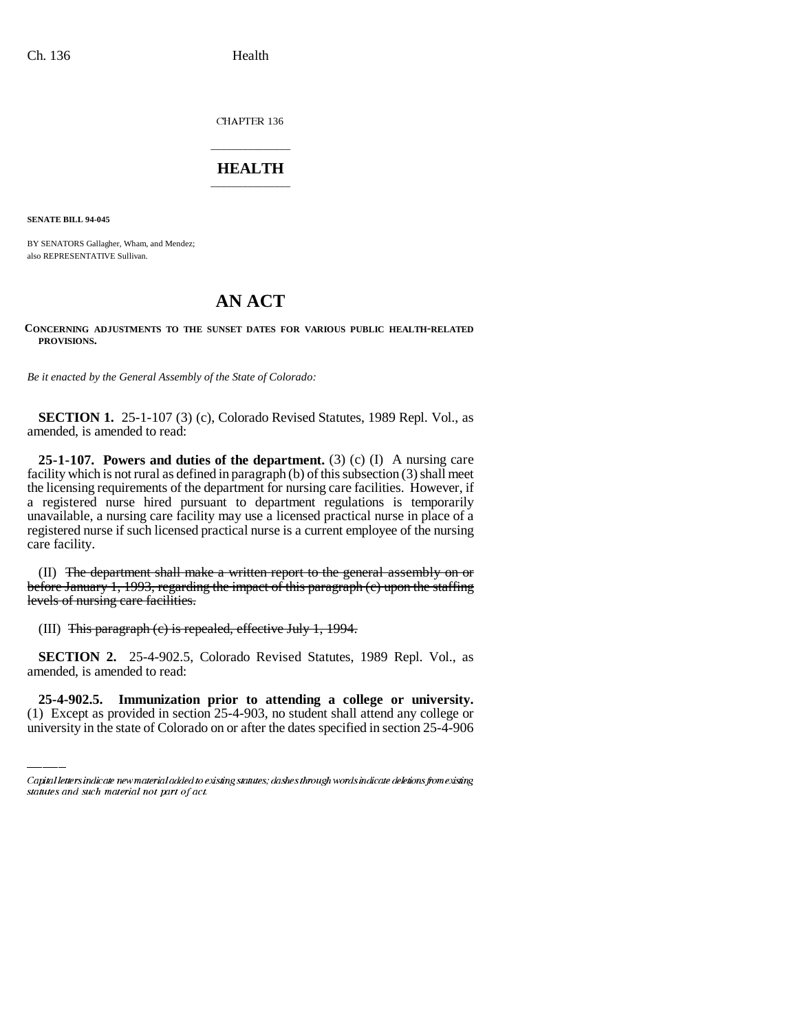CHAPTER 136

## \_\_\_\_\_\_\_\_\_\_\_\_\_\_\_ **HEALTH** \_\_\_\_\_\_\_\_\_\_\_\_\_\_\_

**SENATE BILL 94-045**

BY SENATORS Gallagher, Wham, and Mendez; also REPRESENTATIVE Sullivan.

# **AN ACT**

### **CONCERNING ADJUSTMENTS TO THE SUNSET DATES FOR VARIOUS PUBLIC HEALTH-RELATED PROVISIONS.**

*Be it enacted by the General Assembly of the State of Colorado:*

**SECTION 1.** 25-1-107 (3) (c), Colorado Revised Statutes, 1989 Repl. Vol., as amended, is amended to read:

**25-1-107. Powers and duties of the department.** (3) (c) (I) A nursing care facility which is not rural as defined in paragraph (b) of this subsection (3) shall meet the licensing requirements of the department for nursing care facilities. However, if a registered nurse hired pursuant to department regulations is temporarily unavailable, a nursing care facility may use a licensed practical nurse in place of a registered nurse if such licensed practical nurse is a current employee of the nursing care facility.

(II) The department shall make a written report to the general assembly on or before January 1, 1993, regarding the impact of this paragraph (c) upon the staffing levels of nursing care facilities.

(III) This paragraph (c) is repealed, effective July 1, 1994.

amended, is amended to read: **SECTION 2.** 25-4-902.5, Colorado Revised Statutes, 1989 Repl. Vol., as

**25-4-902.5. Immunization prior to attending a college or university.** (1) Except as provided in section 25-4-903, no student shall attend any college or university in the state of Colorado on or after the dates specified in section 25-4-906

Capital letters indicate new material added to existing statutes; dashes through words indicate deletions from existing statutes and such material not part of act.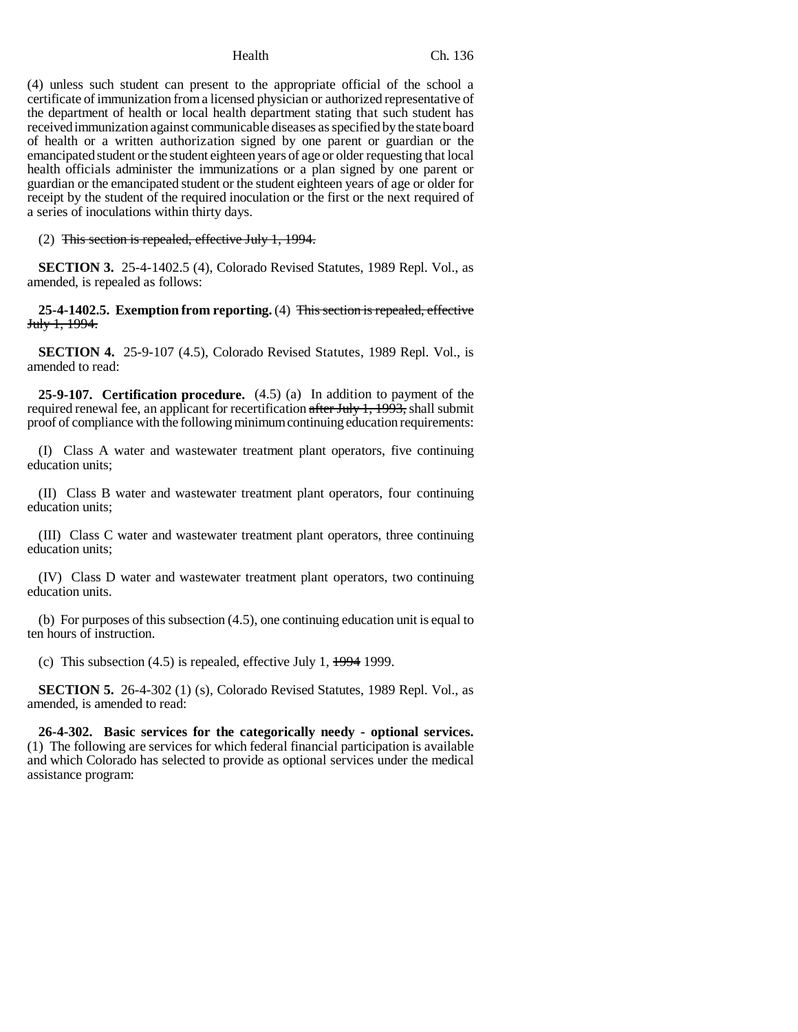(4) unless such student can present to the appropriate official of the school a certificate of immunization from a licensed physician or authorized representative of the department of health or local health department stating that such student has received immunization against communicable diseases as specified by the state board of health or a written authorization signed by one parent or guardian or the emancipated student or the student eighteen years of age or older requesting that local health officials administer the immunizations or a plan signed by one parent or guardian or the emancipated student or the student eighteen years of age or older for receipt by the student of the required inoculation or the first or the next required of a series of inoculations within thirty days.

(2) This section is repealed, effective July 1, 1994.

**SECTION 3.** 25-4-1402.5 (4), Colorado Revised Statutes, 1989 Repl. Vol., as amended, is repealed as follows:

**25-4-1402.5. Exemption from reporting.** (4) This section is repealed, effective July 1, 1994.

**SECTION 4.** 25-9-107 (4.5), Colorado Revised Statutes, 1989 Repl. Vol., is amended to read:

**25-9-107. Certification procedure.** (4.5) (a) In addition to payment of the required renewal fee, an applicant for recertification  $\frac{\text{after July 1, 1993}}{\text{in }100}$ , shall submit proof of compliance with the following minimum continuing education requirements:

(I) Class A water and wastewater treatment plant operators, five continuing education units;

(II) Class B water and wastewater treatment plant operators, four continuing education units;

(III) Class C water and wastewater treatment plant operators, three continuing education units;

(IV) Class D water and wastewater treatment plant operators, two continuing education units.

(b) For purposes of this subsection (4.5), one continuing education unit is equal to ten hours of instruction.

(c) This subsection  $(4.5)$  is repealed, effective July 1,  $\frac{1994}{1999}$ .

**SECTION 5.** 26-4-302 (1) (s), Colorado Revised Statutes, 1989 Repl. Vol., as amended, is amended to read:

**26-4-302. Basic services for the categorically needy - optional services.** (1) The following are services for which federal financial participation is available and which Colorado has selected to provide as optional services under the medical assistance program: